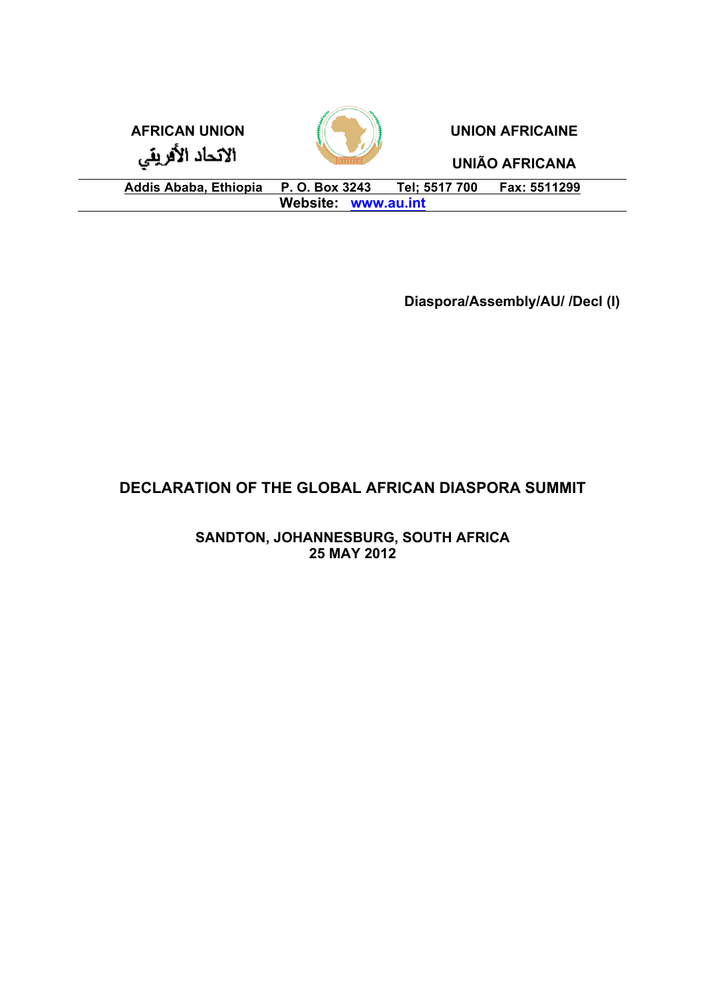

**Diaspora/Assembly/AU/ /Decl (I)**

# **DECLARATION OF THE GLOBAL AFRICAN DIASPORA SUMMIT**

**SANDTON, JOHANNESBURG, SOUTH AFRICA 25 MAY 2012**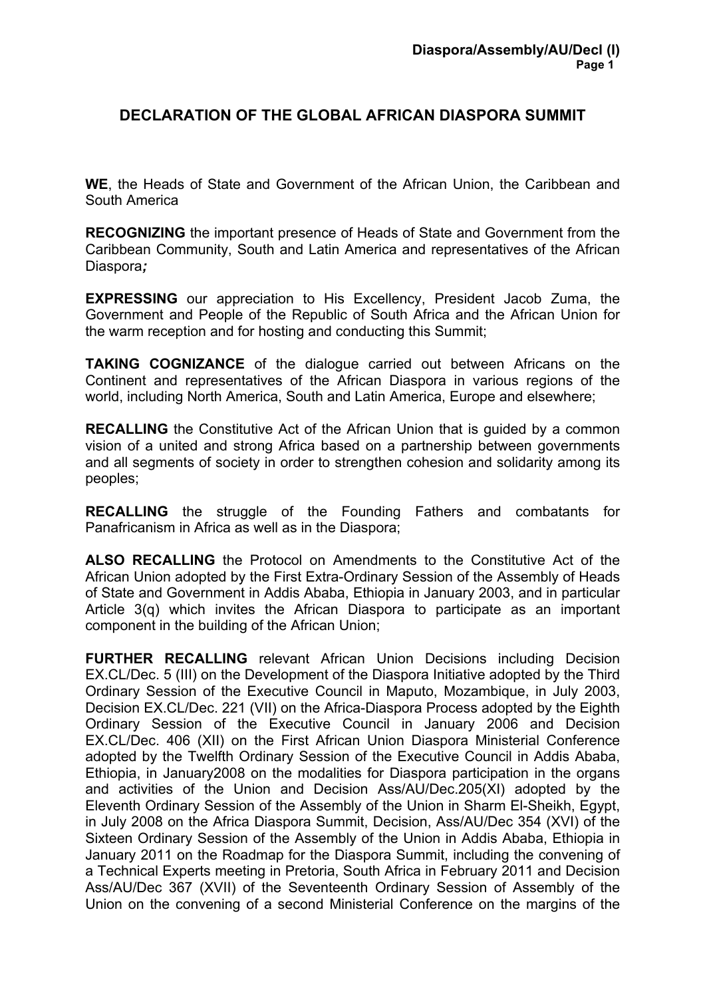# **DECLARATION OF THE GLOBAL AFRICAN DIASPORA SUMMIT**

**WE**, the Heads of State and Government of the African Union, the Caribbean and South America

**RECOGNIZING** the important presence of Heads of State and Government from the Caribbean Community, South and Latin America and representatives of the African Diaspora*;* 

**EXPRESSING** our appreciation to His Excellency, President Jacob Zuma, the Government and People of the Republic of South Africa and the African Union for the warm reception and for hosting and conducting this Summit;

**TAKING COGNIZANCE** of the dialogue carried out between Africans on the Continent and representatives of the African Diaspora in various regions of the world, including North America, South and Latin America, Europe and elsewhere;

**RECALLING** the Constitutive Act of the African Union that is guided by a common vision of a united and strong Africa based on a partnership between governments and all segments of society in order to strengthen cohesion and solidarity among its peoples;

**RECALLING** the struggle of the Founding Fathers and combatants for Panafricanism in Africa as well as in the Diaspora;

**ALSO RECALLING** the Protocol on Amendments to the Constitutive Act of the African Union adopted by the First Extra-Ordinary Session of the Assembly of Heads of State and Government in Addis Ababa, Ethiopia in January 2003, and in particular Article 3(q) which invites the African Diaspora to participate as an important component in the building of the African Union;

**FURTHER RECALLING** relevant African Union Decisions including Decision EX.CL/Dec. 5 (III) on the Development of the Diaspora Initiative adopted by the Third Ordinary Session of the Executive Council in Maputo, Mozambique, in July 2003, Decision EX.CL/Dec. 221 (VII) on the Africa-Diaspora Process adopted by the Eighth Ordinary Session of the Executive Council in January 2006 and Decision EX.CL/Dec. 406 (XII) on the First African Union Diaspora Ministerial Conference adopted by the Twelfth Ordinary Session of the Executive Council in Addis Ababa, Ethiopia, in January2008 on the modalities for Diaspora participation in the organs and activities of the Union and Decision Ass/AU/Dec.205(XI) adopted by the Eleventh Ordinary Session of the Assembly of the Union in Sharm El-Sheikh, Egypt, in July 2008 on the Africa Diaspora Summit, Decision, Ass/AU/Dec 354 (XVI) of the Sixteen Ordinary Session of the Assembly of the Union in Addis Ababa, Ethiopia in January 2011 on the Roadmap for the Diaspora Summit, including the convening of a Technical Experts meeting in Pretoria, South Africa in February 2011 and Decision Ass/AU/Dec 367 (XVII) of the Seventeenth Ordinary Session of Assembly of the Union on the convening of a second Ministerial Conference on the margins of the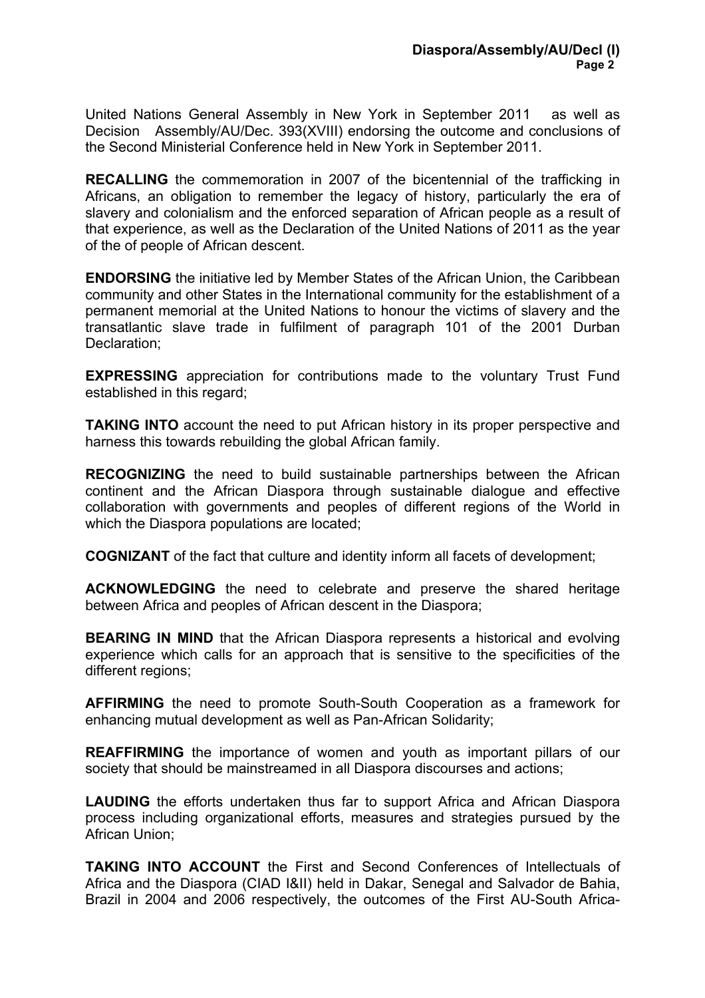United Nations General Assembly in New York in September 2011 as well as Decision Assembly/AU/Dec. 393(XVIII) endorsing the outcome and conclusions of the Second Ministerial Conference held in New York in September 2011.

**RECALLING** the commemoration in 2007 of the bicentennial of the trafficking in Africans, an obligation to remember the legacy of history, particularly the era of slavery and colonialism and the enforced separation of African people as a result of that experience, as well as the Declaration of the United Nations of 2011 as the year of the of people of African descent.

**ENDORSING** the initiative led by Member States of the African Union, the Caribbean community and other States in the International community for the establishment of a permanent memorial at the United Nations to honour the victims of slavery and the transatlantic slave trade in fulfilment of paragraph 101 of the 2001 Durban Declaration;

**EXPRESSING** appreciation for contributions made to the voluntary Trust Fund established in this regard;

**TAKING INTO** account the need to put African history in its proper perspective and harness this towards rebuilding the global African family.

**RECOGNIZING** the need to build sustainable partnerships between the African continent and the African Diaspora through sustainable dialogue and effective collaboration with governments and peoples of different regions of the World in which the Diaspora populations are located;

**COGNIZANT** of the fact that culture and identity inform all facets of development;

**ACKNOWLEDGING** the need to celebrate and preserve the shared heritage between Africa and peoples of African descent in the Diaspora;

**BEARING IN MIND** that the African Diaspora represents a historical and evolving experience which calls for an approach that is sensitive to the specificities of the different regions;

**AFFIRMING** the need to promote South-South Cooperation as a framework for enhancing mutual development as well as Pan-African Solidarity;

**REAFFIRMING** the importance of women and youth as important pillars of our society that should be mainstreamed in all Diaspora discourses and actions;

**LAUDING** the efforts undertaken thus far to support Africa and African Diaspora process including organizational efforts, measures and strategies pursued by the African Union;

**TAKING INTO ACCOUNT** the First and Second Conferences of Intellectuals of Africa and the Diaspora (CIAD I&II) held in Dakar, Senegal and Salvador de Bahia, Brazil in 2004 and 2006 respectively, the outcomes of the First AU-South Africa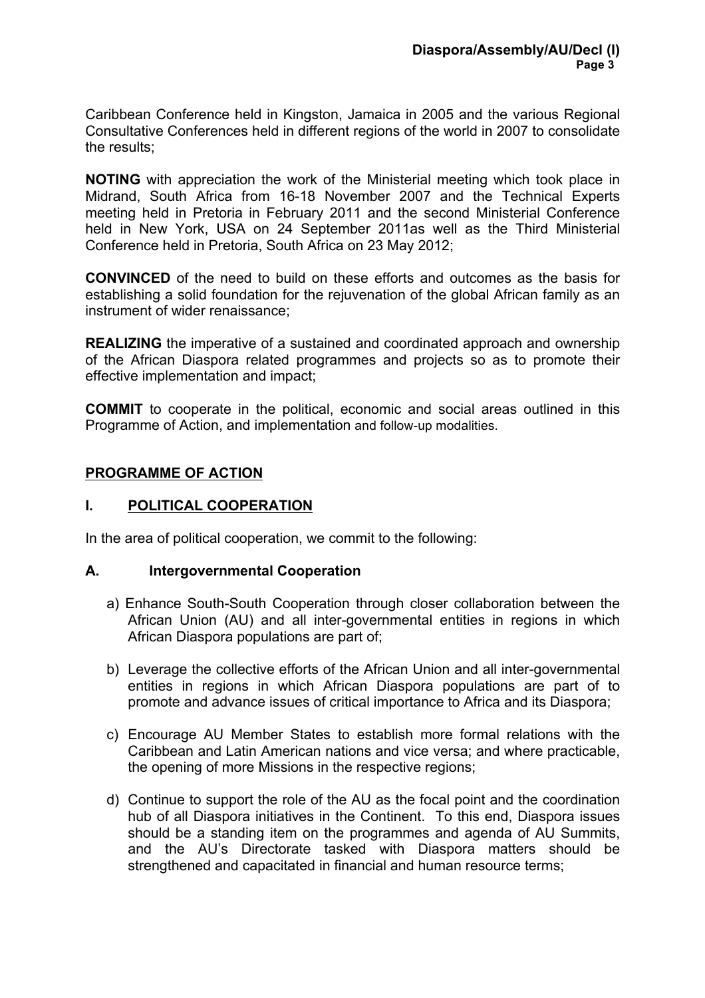Caribbean Conference held in Kingston, Jamaica in 2005 and the various Regional Consultative Conferences held in different regions of the world in 2007 to consolidate the results;

**NOTING** with appreciation the work of the Ministerial meeting which took place in Midrand, South Africa from 16-18 November 2007 and the Technical Experts meeting held in Pretoria in February 2011 and the second Ministerial Conference held in New York, USA on 24 September 2011as well as the Third Ministerial Conference held in Pretoria, South Africa on 23 May 2012;

**CONVINCED** of the need to build on these efforts and outcomes as the basis for establishing a solid foundation for the rejuvenation of the global African family as an instrument of wider renaissance;

**REALIZING** the imperative of a sustained and coordinated approach and ownership of the African Diaspora related programmes and projects so as to promote their effective implementation and impact;

**COMMIT** to cooperate in the political, economic and social areas outlined in this Programme of Action, and implementation and follow-up modalities.

## **PROGRAMME OF ACTION**

#### **I. POLITICAL COOPERATION**

In the area of political cooperation, we commit to the following:

#### **A. Intergovernmental Cooperation**

- a) Enhance South-South Cooperation through closer collaboration between the African Union (AU) and all inter-governmental entities in regions in which African Diaspora populations are part of;
- b) Leverage the collective efforts of the African Union and all inter-governmental entities in regions in which African Diaspora populations are part of to promote and advance issues of critical importance to Africa and its Diaspora;
- c) Encourage AU Member States to establish more formal relations with the Caribbean and Latin American nations and vice versa; and where practicable, the opening of more Missions in the respective regions;
- d) Continue to support the role of the AU as the focal point and the coordination hub of all Diaspora initiatives in the Continent. To this end, Diaspora issues should be a standing item on the programmes and agenda of AU Summits, and the AU's Directorate tasked with Diaspora matters should be strengthened and capacitated in financial and human resource terms: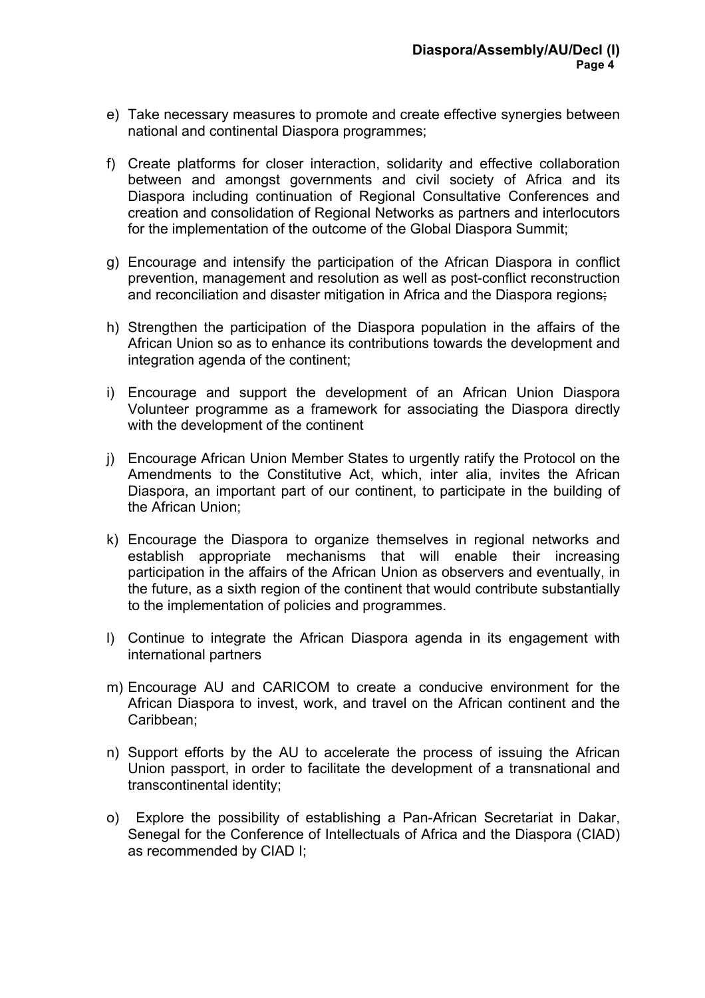- e) Take necessary measures to promote and create effective synergies between national and continental Diaspora programmes;
- f) Create platforms for closer interaction, solidarity and effective collaboration between and amongst governments and civil society of Africa and its Diaspora including continuation of Regional Consultative Conferences and creation and consolidation of Regional Networks as partners and interlocutors for the implementation of the outcome of the Global Diaspora Summit;
- g) Encourage and intensify the participation of the African Diaspora in conflict prevention, management and resolution as well as post-conflict reconstruction and reconciliation and disaster mitigation in Africa and the Diaspora regions;
- h) Strengthen the participation of the Diaspora population in the affairs of the African Union so as to enhance its contributions towards the development and integration agenda of the continent;
- i) Encourage and support the development of an African Union Diaspora Volunteer programme as a framework for associating the Diaspora directly with the development of the continent
- j) Encourage African Union Member States to urgently ratify the Protocol on the Amendments to the Constitutive Act, which, inter alia, invites the African Diaspora, an important part of our continent, to participate in the building of the African Union;
- k) Encourage the Diaspora to organize themselves in regional networks and establish appropriate mechanisms that will enable their increasing participation in the affairs of the African Union as observers and eventually, in the future, as a sixth region of the continent that would contribute substantially to the implementation of policies and programmes.
- l) Continue to integrate the African Diaspora agenda in its engagement with international partners
- m) Encourage AU and CARICOM to create a conducive environment for the African Diaspora to invest, work, and travel on the African continent and the Caribbean;
- n) Support efforts by the AU to accelerate the process of issuing the African Union passport, in order to facilitate the development of a transnational and transcontinental identity;
- o) Explore the possibility of establishing a Pan-African Secretariat in Dakar, Senegal for the Conference of Intellectuals of Africa and the Diaspora (CIAD) as recommended by CIAD I;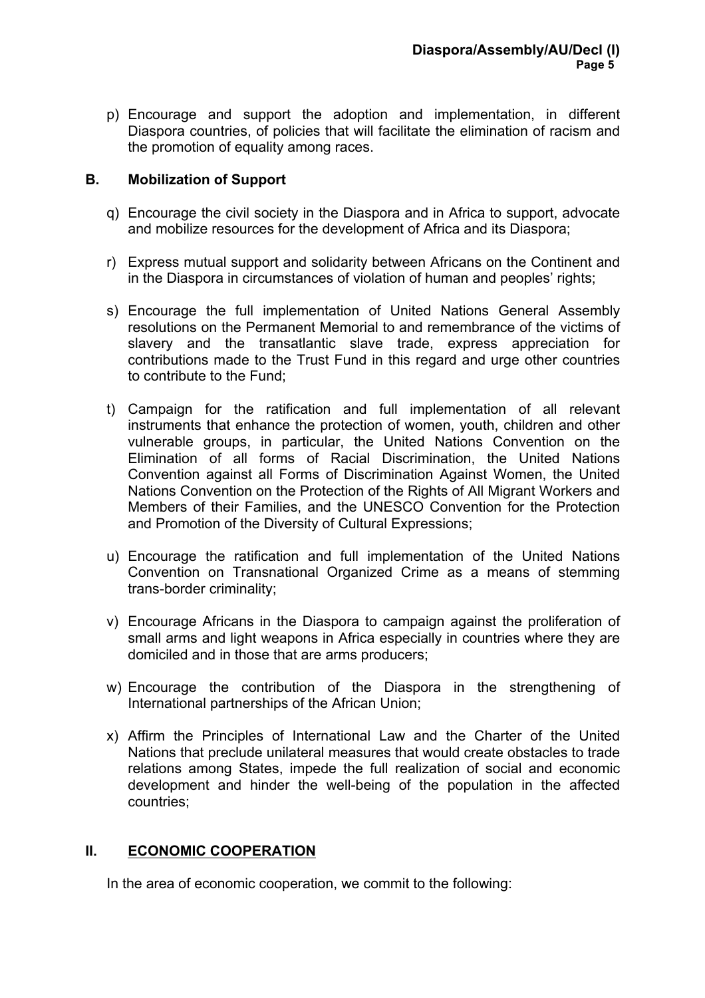p) Encourage and support the adoption and implementation, in different Diaspora countries, of policies that will facilitate the elimination of racism and the promotion of equality among races.

### **B. Mobilization of Support**

- q) Encourage the civil society in the Diaspora and in Africa to support, advocate and mobilize resources for the development of Africa and its Diaspora;
- r) Express mutual support and solidarity between Africans on the Continent and in the Diaspora in circumstances of violation of human and peoples' rights;
- s) Encourage the full implementation of United Nations General Assembly resolutions on the Permanent Memorial to and remembrance of the victims of slavery and the transatlantic slave trade, express appreciation for contributions made to the Trust Fund in this regard and urge other countries to contribute to the Fund;
- t) Campaign for the ratification and full implementation of all relevant instruments that enhance the protection of women, youth, children and other vulnerable groups, in particular, the United Nations Convention on the Elimination of all forms of Racial Discrimination, the United Nations Convention against all Forms of Discrimination Against Women, the United Nations Convention on the Protection of the Rights of All Migrant Workers and Members of their Families, and the UNESCO Convention for the Protection and Promotion of the Diversity of Cultural Expressions;
- u) Encourage the ratification and full implementation of the United Nations Convention on Transnational Organized Crime as a means of stemming trans-border criminality;
- v) Encourage Africans in the Diaspora to campaign against the proliferation of small arms and light weapons in Africa especially in countries where they are domiciled and in those that are arms producers;
- w) Encourage the contribution of the Diaspora in the strengthening of International partnerships of the African Union;
- x) Affirm the Principles of International Law and the Charter of the United Nations that preclude unilateral measures that would create obstacles to trade relations among States, impede the full realization of social and economic development and hinder the well-being of the population in the affected countries;

# **II. ECONOMIC COOPERATION**

In the area of economic cooperation, we commit to the following: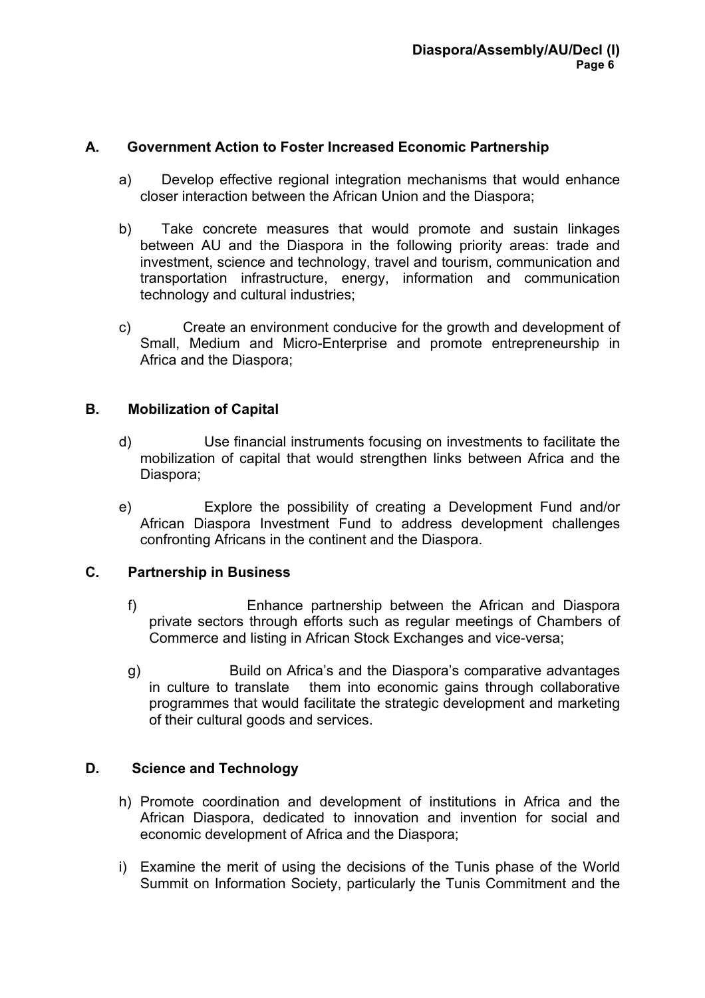#### **A. Government Action to Foster Increased Economic Partnership**

- a) Develop effective regional integration mechanisms that would enhance closer interaction between the African Union and the Diaspora;
- b) Take concrete measures that would promote and sustain linkages between AU and the Diaspora in the following priority areas: trade and investment, science and technology, travel and tourism, communication and transportation infrastructure, energy, information and communication technology and cultural industries;
- c) Create an environment conducive for the growth and development of Small, Medium and Micro-Enterprise and promote entrepreneurship in Africa and the Diaspora;

## **B. Mobilization of Capital**

- d) Use financial instruments focusing on investments to facilitate the mobilization of capital that would strengthen links between Africa and the Diaspora;
- e) Explore the possibility of creating a Development Fund and/or African Diaspora Investment Fund to address development challenges confronting Africans in the continent and the Diaspora.

#### **C. Partnership in Business**

- f) Enhance partnership between the African and Diaspora private sectors through efforts such as regular meetings of Chambers of Commerce and listing in African Stock Exchanges and vice-versa;
- g) Build on Africa's and the Diaspora's comparative advantages in culture to translate them into economic gains through collaborative programmes that would facilitate the strategic development and marketing of their cultural goods and services.

#### **D. Science and Technology**

- h) Promote coordination and development of institutions in Africa and the African Diaspora, dedicated to innovation and invention for social and economic development of Africa and the Diaspora;
- i) Examine the merit of using the decisions of the Tunis phase of the World Summit on Information Society, particularly the Tunis Commitment and the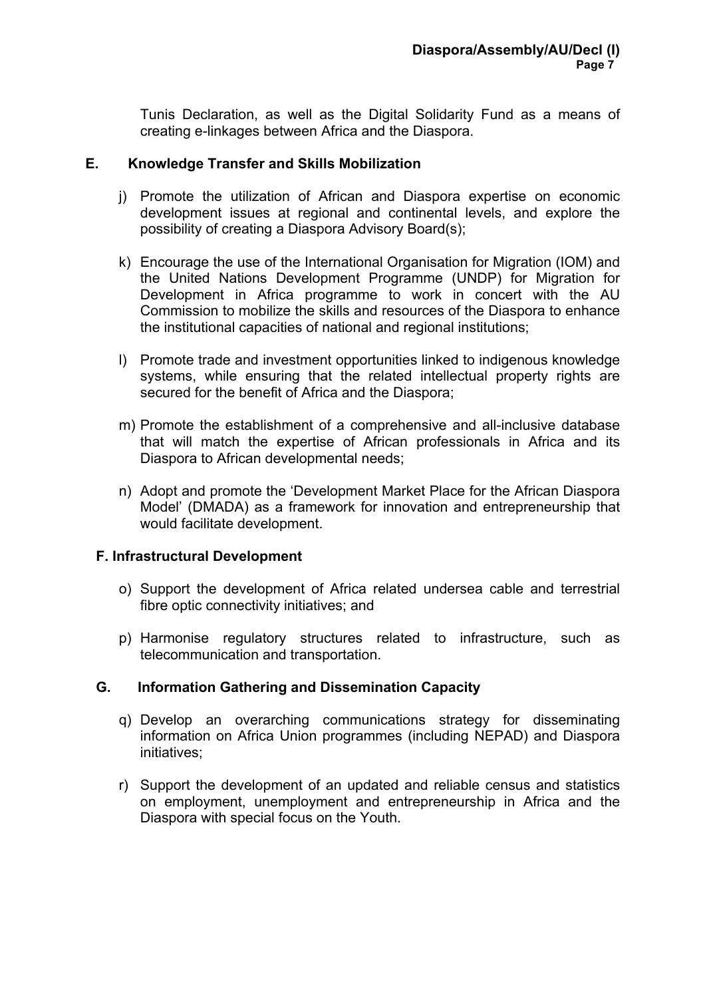Tunis Declaration, as well as the Digital Solidarity Fund as a means of creating e-linkages between Africa and the Diaspora.

#### **E. Knowledge Transfer and Skills Mobilization**

- j) Promote the utilization of African and Diaspora expertise on economic development issues at regional and continental levels, and explore the possibility of creating a Diaspora Advisory Board(s);
- k) Encourage the use of the International Organisation for Migration (IOM) and the United Nations Development Programme (UNDP) for Migration for Development in Africa programme to work in concert with the AU Commission to mobilize the skills and resources of the Diaspora to enhance the institutional capacities of national and regional institutions;
- l) Promote trade and investment opportunities linked to indigenous knowledge systems, while ensuring that the related intellectual property rights are secured for the benefit of Africa and the Diaspora;
- m) Promote the establishment of a comprehensive and all-inclusive database that will match the expertise of African professionals in Africa and its Diaspora to African developmental needs;
- n) Adopt and promote the 'Development Market Place for the African Diaspora Model' (DMADA) as a framework for innovation and entrepreneurship that would facilitate development.

#### **F. Infrastructural Development**

- o) Support the development of Africa related undersea cable and terrestrial fibre optic connectivity initiatives; and
- p) Harmonise regulatory structures related to infrastructure, such as telecommunication and transportation.

#### **G. Information Gathering and Dissemination Capacity**

- q) Develop an overarching communications strategy for disseminating information on Africa Union programmes (including NEPAD) and Diaspora initiatives;
- r) Support the development of an updated and reliable census and statistics on employment, unemployment and entrepreneurship in Africa and the Diaspora with special focus on the Youth.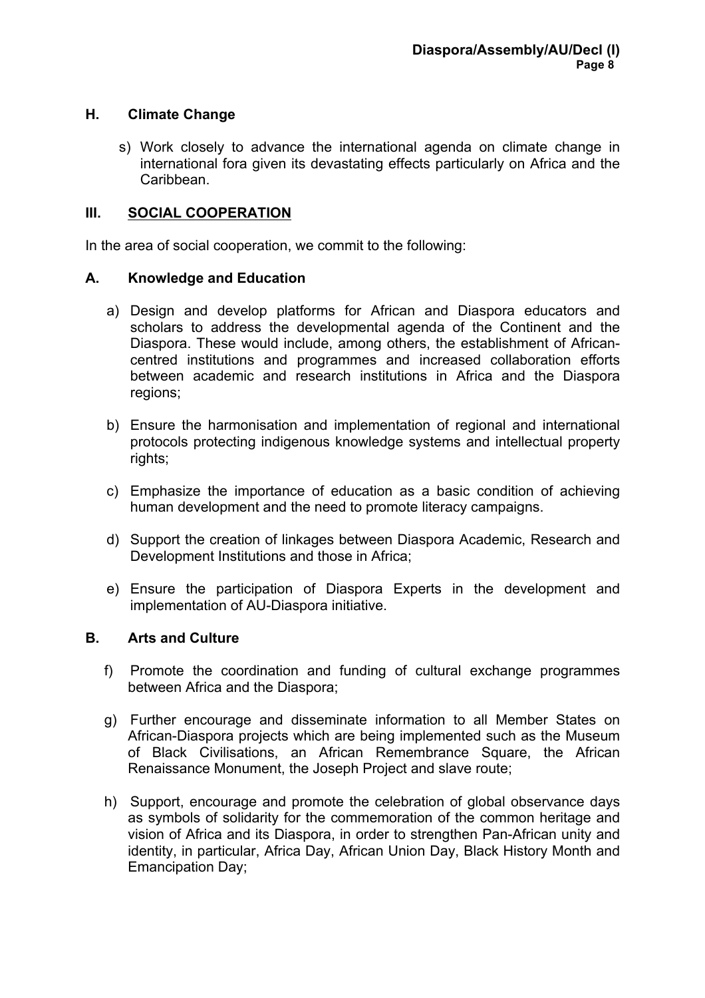#### **H. Climate Change**

s) Work closely to advance the international agenda on climate change in international fora given its devastating effects particularly on Africa and the **Caribbean** 

#### **III. SOCIAL COOPERATION**

In the area of social cooperation, we commit to the following:

#### **A. Knowledge and Education**

- a) Design and develop platforms for African and Diaspora educators and scholars to address the developmental agenda of the Continent and the Diaspora. These would include, among others, the establishment of Africancentred institutions and programmes and increased collaboration efforts between academic and research institutions in Africa and the Diaspora regions;
- b) Ensure the harmonisation and implementation of regional and international protocols protecting indigenous knowledge systems and intellectual property rights;
- c) Emphasize the importance of education as a basic condition of achieving human development and the need to promote literacy campaigns.
- d) Support the creation of linkages between Diaspora Academic, Research and Development Institutions and those in Africa;
- e) Ensure the participation of Diaspora Experts in the development and implementation of AU-Diaspora initiative.

#### **B. Arts and Culture**

- f) Promote the coordination and funding of cultural exchange programmes between Africa and the Diaspora;
- g) Further encourage and disseminate information to all Member States on African-Diaspora projects which are being implemented such as the Museum of Black Civilisations, an African Remembrance Square, the African Renaissance Monument, the Joseph Project and slave route;
- h) Support, encourage and promote the celebration of global observance days as symbols of solidarity for the commemoration of the common heritage and vision of Africa and its Diaspora, in order to strengthen Pan-African unity and identity, in particular, Africa Day, African Union Day, Black History Month and Emancipation Day;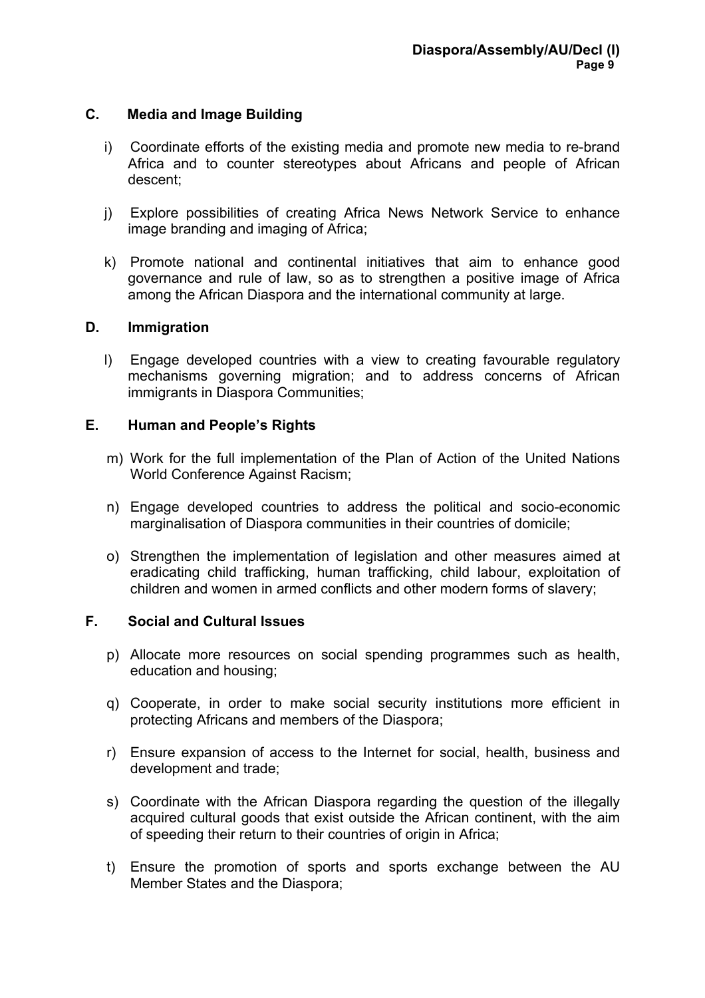#### **C. Media and Image Building**

- i) Coordinate efforts of the existing media and promote new media to re-brand Africa and to counter stereotypes about Africans and people of African descent;
- j) Explore possibilities of creating Africa News Network Service to enhance image branding and imaging of Africa;
- k) Promote national and continental initiatives that aim to enhance good governance and rule of law, so as to strengthen a positive image of Africa among the African Diaspora and the international community at large.

#### **D. Immigration**

l) Engage developed countries with a view to creating favourable regulatory mechanisms governing migration; and to address concerns of African immigrants in Diaspora Communities;

#### **E. Human and People's Rights**

- m) Work for the full implementation of the Plan of Action of the United Nations World Conference Against Racism;
- n) Engage developed countries to address the political and socio-economic marginalisation of Diaspora communities in their countries of domicile;
- o) Strengthen the implementation of legislation and other measures aimed at eradicating child trafficking, human trafficking, child labour, exploitation of children and women in armed conflicts and other modern forms of slavery;

#### **F. Social and Cultural Issues**

- p) Allocate more resources on social spending programmes such as health, education and housing;
- q) Cooperate, in order to make social security institutions more efficient in protecting Africans and members of the Diaspora;
- r) Ensure expansion of access to the Internet for social, health, business and development and trade;
- s) Coordinate with the African Diaspora regarding the question of the illegally acquired cultural goods that exist outside the African continent, with the aim of speeding their return to their countries of origin in Africa;
- t) Ensure the promotion of sports and sports exchange between the AU Member States and the Diaspora;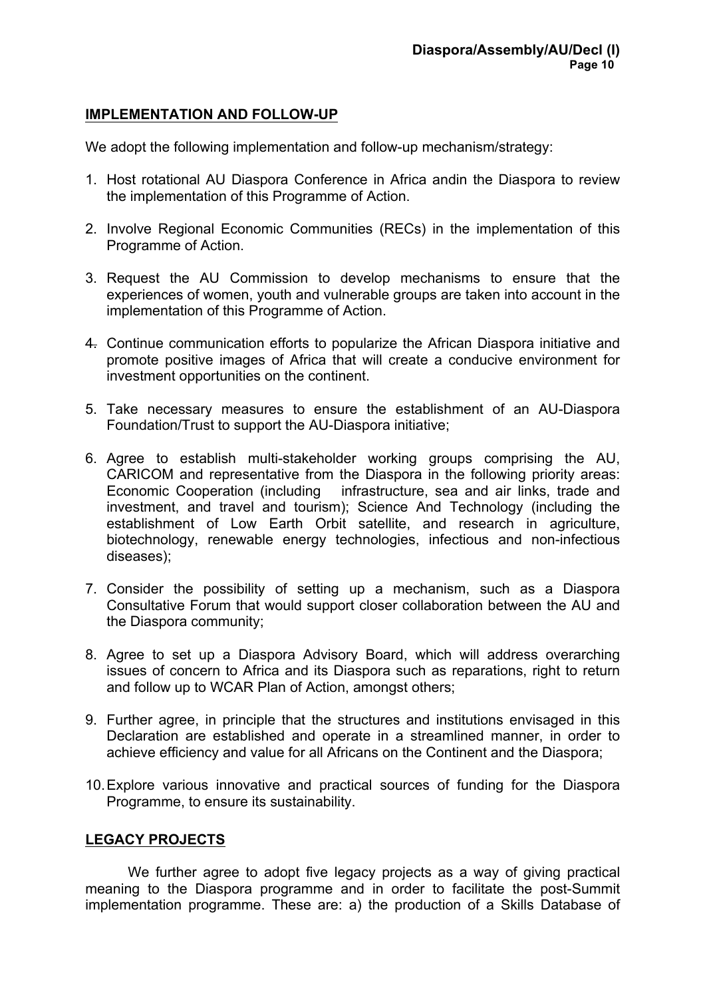#### **IMPLEMENTATION AND FOLLOW-UP**

We adopt the following implementation and follow-up mechanism/strategy:

- 1. Host rotational AU Diaspora Conference in Africa andin the Diaspora to review the implementation of this Programme of Action.
- 2. Involve Regional Economic Communities (RECs) in the implementation of this Programme of Action.
- 3. Request the AU Commission to develop mechanisms to ensure that the experiences of women, youth and vulnerable groups are taken into account in the implementation of this Programme of Action.
- 4. Continue communication efforts to popularize the African Diaspora initiative and promote positive images of Africa that will create a conducive environment for investment opportunities on the continent.
- 5. Take necessary measures to ensure the establishment of an AU-Diaspora Foundation/Trust to support the AU-Diaspora initiative;
- 6. Agree to establish multi-stakeholder working groups comprising the AU, CARICOM and representative from the Diaspora in the following priority areas: Economic Cooperation (including infrastructure, sea and air links, trade and investment, and travel and tourism); Science And Technology (including the establishment of Low Earth Orbit satellite, and research in agriculture, biotechnology, renewable energy technologies, infectious and non-infectious diseases);
- 7. Consider the possibility of setting up a mechanism, such as a Diaspora Consultative Forum that would support closer collaboration between the AU and the Diaspora community;
- 8. Agree to set up a Diaspora Advisory Board, which will address overarching issues of concern to Africa and its Diaspora such as reparations, right to return and follow up to WCAR Plan of Action, amongst others;
- 9. Further agree, in principle that the structures and institutions envisaged in this Declaration are established and operate in a streamlined manner, in order to achieve efficiency and value for all Africans on the Continent and the Diaspora;
- 10.Explore various innovative and practical sources of funding for the Diaspora Programme, to ensure its sustainability.

#### **LEGACY PROJECTS**

We further agree to adopt five legacy projects as a way of giving practical meaning to the Diaspora programme and in order to facilitate the post-Summit implementation programme. These are: a) the production of a Skills Database of